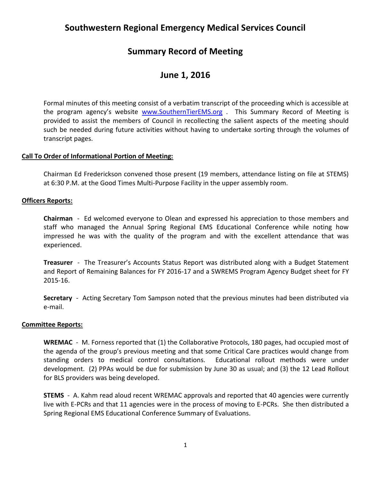# **Southwestern Regional Emergency Medical Services Council**

## **Summary Record of Meeting**

## **June 1, 2016**

Formal minutes of this meeting consist of a verbatim transcript of the proceeding which is accessible at the program agency's website [www.SouthernTierEMS.org](http://www.southerntierems.org/) . This Summary Record of Meeting is provided to assist the members of Council in recollecting the salient aspects of the meeting should such be needed during future activities without having to undertake sorting through the volumes of transcript pages.

## **Call To Order of Informational Portion of Meeting:**

Chairman Ed Frederickson convened those present (19 members, attendance listing on file at STEMS) at 6:30 P.M. at the Good Times Multi-Purpose Facility in the upper assembly room.

## **Officers Reports:**

**Chairman** - Ed welcomed everyone to Olean and expressed his appreciation to those members and staff who managed the Annual Spring Regional EMS Educational Conference while noting how impressed he was with the quality of the program and with the excellent attendance that was experienced.

**Treasurer** - The Treasurer's Accounts Status Report was distributed along with a Budget Statement and Report of Remaining Balances for FY 2016-17 and a SWREMS Program Agency Budget sheet for FY 2015-16.

**Secretary** - Acting Secretary Tom Sampson noted that the previous minutes had been distributed via e-mail.

## **Committee Reports:**

WREMAC - M. Forness reported that (1) the Collaborative Protocols, 180 pages, had occupied most of the agenda of the group's previous meeting and that some Critical Care practices would change from standing orders to medical control consultations. Educational rollout methods were under development. (2) PPAs would be due for submission by June 30 as usual; and (3) the 12 Lead Rollout for BLS providers was being developed.

**STEMS** - A. Kahm read aloud recent WREMAC approvals and reported that 40 agencies were currently live with E-PCRs and that 11 agencies were in the process of moving to E-PCRs. She then distributed a Spring Regional EMS Educational Conference Summary of Evaluations.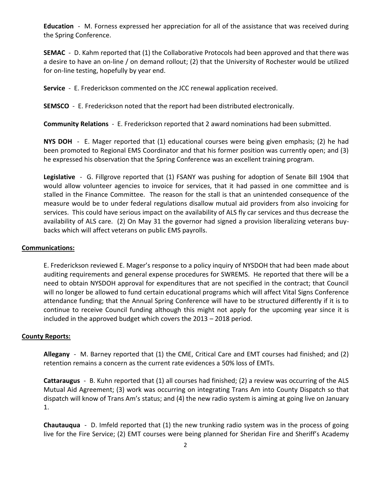**Education** - M. Forness expressed her appreciation for all of the assistance that was received during the Spring Conference.

**SEMAC** - D. Kahm reported that (1) the Collaborative Protocols had been approved and that there was a desire to have an on-line / on demand rollout; (2) that the University of Rochester would be utilized for on-line testing, hopefully by year end.

**Service** - E. Frederickson commented on the JCC renewal application received.

**SEMSCO** - E. Frederickson noted that the report had been distributed electronically.

**Community Relations** - E. Frederickson reported that 2 award nominations had been submitted.

**NYS DOH** - E. Mager reported that (1) educational courses were being given emphasis; (2) he had been promoted to Regional EMS Coordinator and that his former position was currently open; and (3) he expressed his observation that the Spring Conference was an excellent training program.

**Legislative** - G. Fillgrove reported that (1) FSANY was pushing for adoption of Senate Bill 1904 that would allow volunteer agencies to invoice for services, that it had passed in one committee and is stalled in the Finance Committee. The reason for the stall is that an unintended consequence of the measure would be to under federal regulations disallow mutual aid providers from also invoicing for services. This could have serious impact on the availability of ALS fly car services and thus decrease the availability of ALS care. (2) On May 31 the governor had signed a provision liberalizing veterans buybacks which will affect veterans on public EMS payrolls.

## **Communications:**

E. Frederickson reviewed E. Mager's response to a policy inquiry of NYSDOH that had been made about auditing requirements and general expense procedures for SWREMS. He reported that there will be a need to obtain NYSDOH approval for expenditures that are not specified in the contract; that Council will no longer be allowed to fund certain educational programs which will affect Vital Signs Conference attendance funding; that the Annual Spring Conference will have to be structured differently if it is to continue to receive Council funding although this might not apply for the upcoming year since it is included in the approved budget which covers the 2013 – 2018 period.

## **County Reports:**

**Allegany** - M. Barney reported that (1) the CME, Critical Care and EMT courses had finished; and (2) retention remains a concern as the current rate evidences a 50% loss of EMTs.

**Cattaraugus** - B. Kuhn reported that (1) all courses had finished; (2) a review was occurring of the ALS Mutual Aid Agreement; (3) work was occurring on integrating Trans Am into County Dispatch so that dispatch will know of Trans Am's status; and (4) the new radio system is aiming at going live on January 1.

**Chautauqua** - D. Imfeld reported that (1) the new trunking radio system was in the process of going live for the Fire Service; (2) EMT courses were being planned for Sheridan Fire and Sheriff's Academy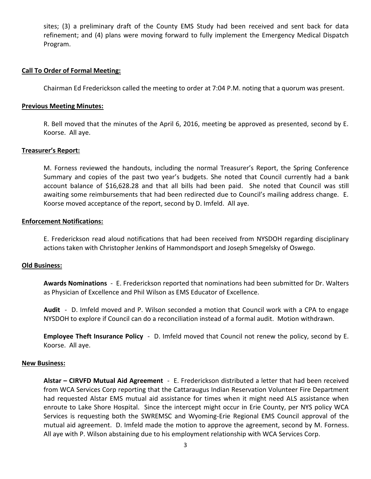sites; (3) a preliminary draft of the County EMS Study had been received and sent back for data refinement; and (4) plans were moving forward to fully implement the Emergency Medical Dispatch Program.

#### **Call To Order of Formal Meeting:**

Chairman Ed Frederickson called the meeting to order at 7:04 P.M. noting that a quorum was present.

#### **Previous Meeting Minutes:**

R. Bell moved that the minutes of the April 6, 2016, meeting be approved as presented, second by E. Koorse. All aye.

#### **Treasurer's Report:**

M. Forness reviewed the handouts, including the normal Treasurer's Report, the Spring Conference Summary and copies of the past two year's budgets. She noted that Council currently had a bank account balance of \$16,628.28 and that all bills had been paid. She noted that Council was still awaiting some reimbursements that had been redirected due to Council's mailing address change. E. Koorse moved acceptance of the report, second by D. Imfeld. All aye.

### **Enforcement Notifications:**

E. Frederickson read aloud notifications that had been received from NYSDOH regarding disciplinary actions taken with Christopher Jenkins of Hammondsport and Joseph Smegelsky of Oswego.

#### **Old Business:**

**Awards Nominations** - E. Frederickson reported that nominations had been submitted for Dr. Walters as Physician of Excellence and Phil Wilson as EMS Educator of Excellence.

**Audit** - D. Imfeld moved and P. Wilson seconded a motion that Council work with a CPA to engage NYSDOH to explore if Council can do a reconciliation instead of a formal audit. Motion withdrawn.

**Employee Theft Insurance Policy** - D. Imfeld moved that Council not renew the policy, second by E. Koorse. All aye.

#### **New Business:**

**Alstar – CIRVFD Mutual Aid Agreement** - E. Frederickson distributed a letter that had been received from WCA Services Corp reporting that the Cattaraugus Indian Reservation Volunteer Fire Department had requested Alstar EMS mutual aid assistance for times when it might need ALS assistance when enroute to Lake Shore Hospital. Since the intercept might occur in Erie County, per NYS policy WCA Services is requesting both the SWREMSC and Wyoming-Erie Regional EMS Council approval of the mutual aid agreement. D. Imfeld made the motion to approve the agreement, second by M. Forness. All aye with P. Wilson abstaining due to his employment relationship with WCA Services Corp.